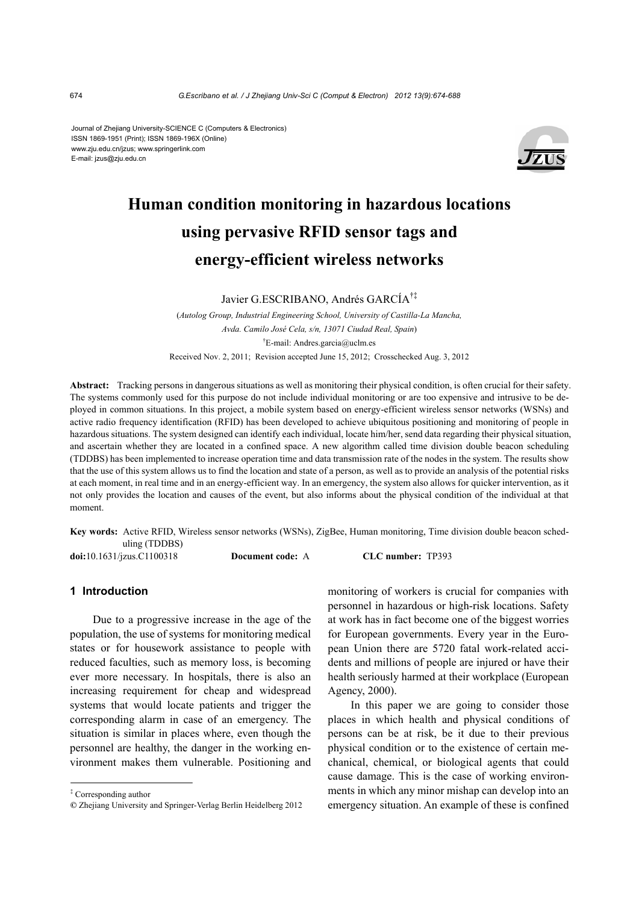Journal of Zhejiang University-SCIENCE C (Computers & Electronics) ISSN 1869-1951 (Print); ISSN 1869-196X (Online) www.zju.edu.cn/jzus; www.springerlink.com E-mail: jzus@zju.edu.cn



# **Human condition monitoring in hazardous locations using pervasive RFID sensor tags and energy-efficient wireless networks**

Javier G.ESCRIBANO, Andrés GARCÍA†‡

(*Autolog Group, Industrial Engineering School, University of Castilla-La Mancha, Avda. Camilo José Cela, s/n, 13071 Ciudad Real, Spain*) † E-mail: Andres.garcia@uclm.es

Received Nov. 2, 2011; Revision accepted June 15, 2012; Crosschecked Aug. 3, 2012

**Abstract:** Tracking persons in dangerous situations as well as monitoring their physical condition, is often crucial for their safety. The systems commonly used for this purpose do not include individual monitoring or are too expensive and intrusive to be deployed in common situations. In this project, a mobile system based on energy-efficient wireless sensor networks (WSNs) and active radio frequency identification (RFID) has been developed to achieve ubiquitous positioning and monitoring of people in hazardous situations. The system designed can identify each individual, locate him/her, send data regarding their physical situation, and ascertain whether they are located in a confined space. A new algorithm called time division double beacon scheduling (TDDBS) has been implemented to increase operation time and data transmission rate of the nodes in the system. The results show that the use of this system allows us to find the location and state of a person, as well as to provide an analysis of the potential risks at each moment, in real time and in an energy-efficient way. In an emergency, the system also allows for quicker intervention, as it not only provides the location and causes of the event, but also informs about the physical condition of the individual at that moment.

**Key words:** Active RFID, Wireless sensor networks (WSNs), ZigBee, Human monitoring, Time division double beacon scheduling (TDDBS)

**doi:**10.1631/jzus.C1100318 **Document code:** A **CLC number:** TP393

## **1 Introduction**

Due to a progressive increase in the age of the population, the use of systems for monitoring medical states or for housework assistance to people with reduced faculties, such as memory loss, is becoming ever more necessary. In hospitals, there is also an increasing requirement for cheap and widespread systems that would locate patients and trigger the corresponding alarm in case of an emergency. The situation is similar in places where, even though the personnel are healthy, the danger in the working environment makes them vulnerable. Positioning and monitoring of workers is crucial for companies with personnel in hazardous or high-risk locations. Safety at work has in fact become one of the biggest worries for European governments. Every year in the European Union there are 5720 fatal work-related accidents and millions of people are injured or have their health seriously harmed at their workplace (European Agency, 2000).

In this paper we are going to consider those places in which health and physical conditions of persons can be at risk, be it due to their previous physical condition or to the existence of certain mechanical, chemical, or biological agents that could cause damage. This is the case of working environments in which any minor mishap can develop into an emergency situation. An example of these is confined

<sup>‡</sup> Corresponding author

**<sup>©</sup>** Zhejiang University and Springer-Verlag Berlin Heidelberg 2012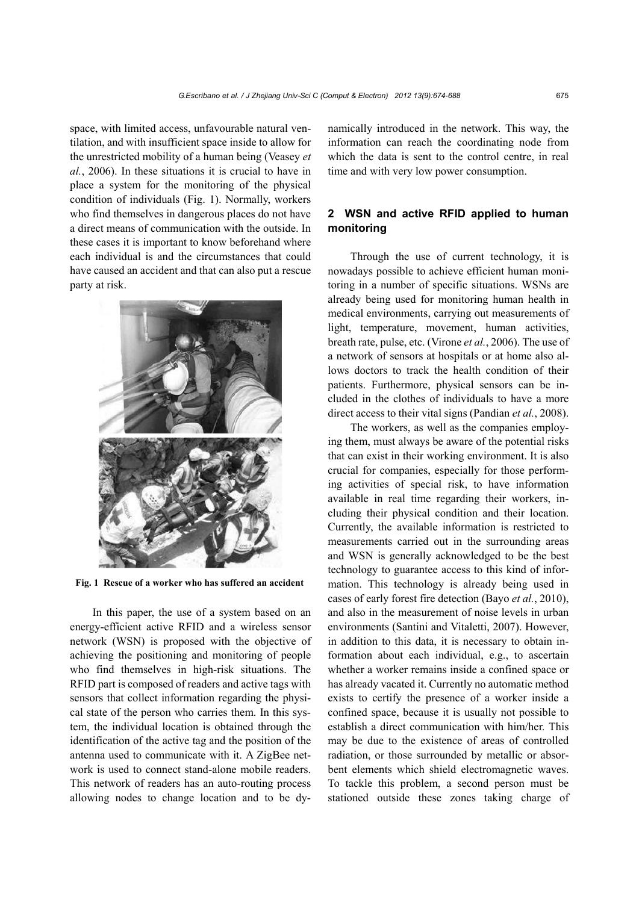space, with limited access, unfavourable natural ventilation, and with insufficient space inside to allow for the unrestricted mobility of a human being (Veasey *et al.*, 2006). In these situations it is crucial to have in place a system for the monitoring of the physical condition of individuals (Fig. 1). Normally, workers who find themselves in dangerous places do not have a direct means of communication with the outside. In these cases it is important to know beforehand where each individual is and the circumstances that could have caused an accident and that can also put a rescue party at risk.



**Fig. 1 Rescue of a worker who has suffered an accident**

In this paper, the use of a system based on an energy-efficient active RFID and a wireless sensor network (WSN) is proposed with the objective of achieving the positioning and monitoring of people who find themselves in high-risk situations. The RFID part is composed of readers and active tags with sensors that collect information regarding the physical state of the person who carries them. In this system, the individual location is obtained through the identification of the active tag and the position of the antenna used to communicate with it. A ZigBee network is used to connect stand-alone mobile readers. This network of readers has an auto-routing process allowing nodes to change location and to be dynamically introduced in the network. This way, the information can reach the coordinating node from which the data is sent to the control centre, in real time and with very low power consumption.

# **2 WSN and active RFID applied to human monitoring**

Through the use of current technology, it is nowadays possible to achieve efficient human monitoring in a number of specific situations. WSNs are already being used for monitoring human health in medical environments, carrying out measurements of light, temperature, movement, human activities, breath rate, pulse, etc. (Virone *et al.*, 2006). The use of a network of sensors at hospitals or at home also allows doctors to track the health condition of their patients. Furthermore, physical sensors can be included in the clothes of individuals to have a more direct access to their vital signs (Pandian *et al.*, 2008).

The workers, as well as the companies employing them, must always be aware of the potential risks that can exist in their working environment. It is also crucial for companies, especially for those performing activities of special risk, to have information available in real time regarding their workers, including their physical condition and their location. Currently, the available information is restricted to measurements carried out in the surrounding areas and WSN is generally acknowledged to be the best technology to guarantee access to this kind of information. This technology is already being used in cases of early forest fire detection (Bayo *et al.*, 2010), and also in the measurement of noise levels in urban environments (Santini and Vitaletti, 2007). However, in addition to this data, it is necessary to obtain information about each individual, e.g., to ascertain whether a worker remains inside a confined space or has already vacated it. Currently no automatic method exists to certify the presence of a worker inside a confined space, because it is usually not possible to establish a direct communication with him/her. This may be due to the existence of areas of controlled radiation, or those surrounded by metallic or absorbent elements which shield electromagnetic waves. To tackle this problem, a second person must be stationed outside these zones taking charge of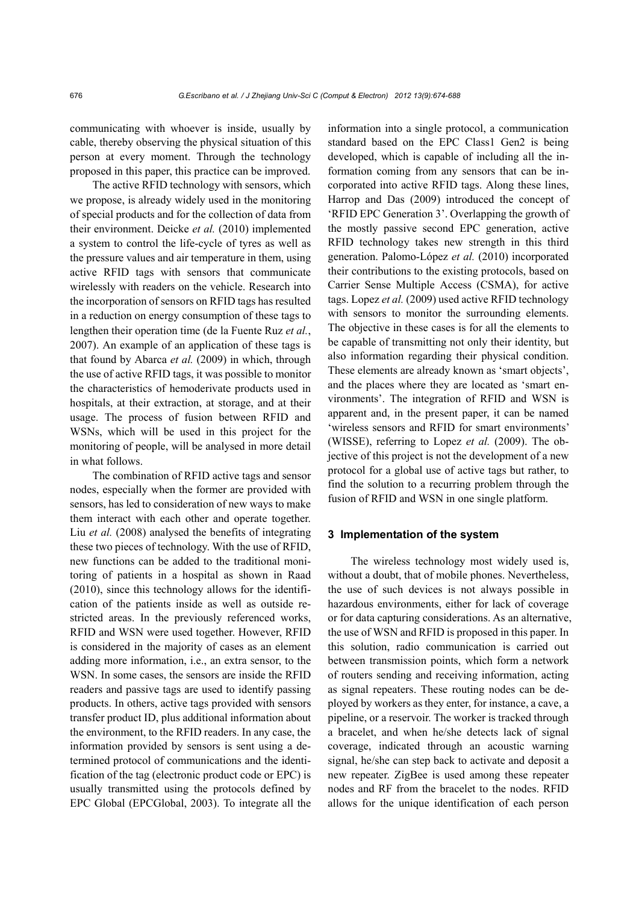communicating with whoever is inside, usually by cable, thereby observing the physical situation of this person at every moment. Through the technology proposed in this paper, this practice can be improved.

The active RFID technology with sensors, which we propose, is already widely used in the monitoring of special products and for the collection of data from their environment. Deicke *et al.* (2010) implemented a system to control the life-cycle of tyres as well as the pressure values and air temperature in them, using active RFID tags with sensors that communicate wirelessly with readers on the vehicle. Research into the incorporation of sensors on RFID tags has resulted in a reduction on energy consumption of these tags to lengthen their operation time (de la Fuente Ruz *et al.*, 2007). An example of an application of these tags is that found by Abarca *et al.* (2009) in which, through the use of active RFID tags, it was possible to monitor the characteristics of hemoderivate products used in hospitals, at their extraction, at storage, and at their usage. The process of fusion between RFID and WSNs, which will be used in this project for the monitoring of people, will be analysed in more detail in what follows.

The combination of RFID active tags and sensor nodes, especially when the former are provided with sensors, has led to consideration of new ways to make them interact with each other and operate together. Liu *et al.* (2008) analysed the benefits of integrating these two pieces of technology. With the use of RFID, new functions can be added to the traditional monitoring of patients in a hospital as shown in Raad (2010), since this technology allows for the identification of the patients inside as well as outside restricted areas. In the previously referenced works, RFID and WSN were used together. However, RFID is considered in the majority of cases as an element adding more information, i.e., an extra sensor, to the WSN. In some cases, the sensors are inside the RFID readers and passive tags are used to identify passing products. In others, active tags provided with sensors transfer product ID, plus additional information about the environment, to the RFID readers. In any case, the information provided by sensors is sent using a determined protocol of communications and the identification of the tag (electronic product code or EPC) is usually transmitted using the protocols defined by EPC Global (EPCGlobal, 2003). To integrate all the

information into a single protocol, a communication standard based on the EPC Class1 Gen2 is being developed, which is capable of including all the information coming from any sensors that can be incorporated into active RFID tags. Along these lines, Harrop and Das (2009) introduced the concept of 'RFID EPC Generation 3'. Overlapping the growth of the mostly passive second EPC generation, active RFID technology takes new strength in this third generation. Palomo-López *et al.* (2010) incorporated their contributions to the existing protocols, based on Carrier Sense Multiple Access (CSMA), for active tags. Lopez *et al.* (2009) used active RFID technology with sensors to monitor the surrounding elements. The objective in these cases is for all the elements to be capable of transmitting not only their identity, but also information regarding their physical condition. These elements are already known as 'smart objects', and the places where they are located as 'smart environments'. The integration of RFID and WSN is apparent and, in the present paper, it can be named 'wireless sensors and RFID for smart environments' (WISSE), referring to Lopez *et al.* (2009). The objective of this project is not the development of a new protocol for a global use of active tags but rather, to find the solution to a recurring problem through the fusion of RFID and WSN in one single platform.

## **3 Implementation of the system**

The wireless technology most widely used is, without a doubt, that of mobile phones. Nevertheless, the use of such devices is not always possible in hazardous environments, either for lack of coverage or for data capturing considerations. As an alternative, the use of WSN and RFID is proposed in this paper. In this solution, radio communication is carried out between transmission points, which form a network of routers sending and receiving information, acting as signal repeaters. These routing nodes can be deployed by workers as they enter, for instance, a cave, a pipeline, or a reservoir. The worker is tracked through a bracelet, and when he/she detects lack of signal coverage, indicated through an acoustic warning signal, he/she can step back to activate and deposit a new repeater. ZigBee is used among these repeater nodes and RF from the bracelet to the nodes. RFID allows for the unique identification of each person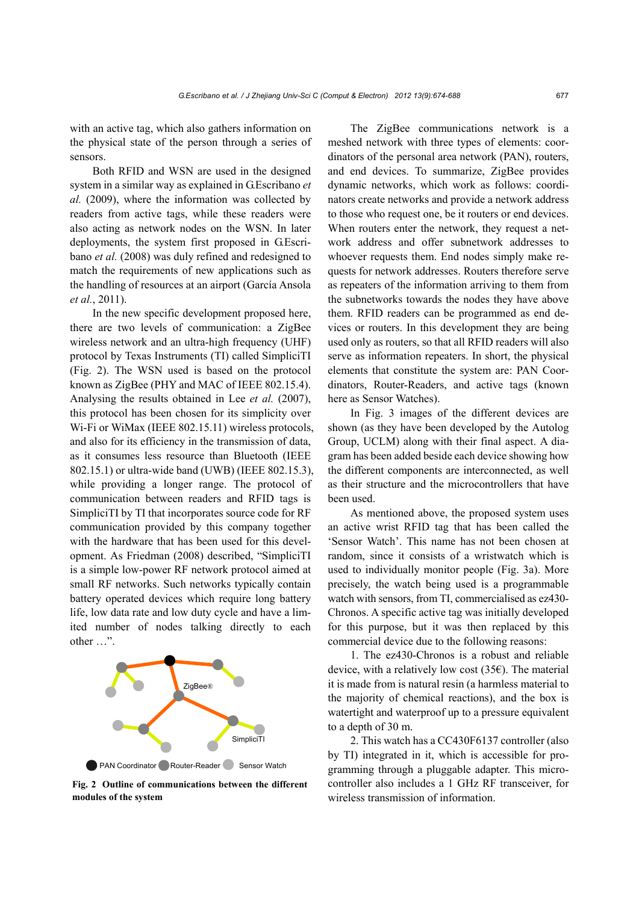with an active tag, which also gathers information on the physical state of the person through a series of sensors.

Both RFID and WSN are used in the designed system in a similar way as explained in G.Escribano *et al.* (2009), where the information was collected by readers from active tags, while these readers were also acting as network nodes on the WSN. In later deployments, the system first proposed in G.Escribano *et al.* (2008) was duly refined and redesigned to match the requirements of new applications such as the handling of resources at an airport (García Ansola *et al.*, 2011).

In the new specific development proposed here, there are two levels of communication: a ZigBee wireless network and an ultra-high frequency (UHF) protocol by Texas Instruments (TI) called SimpliciTI (Fig. 2). The WSN used is based on the protocol known as ZigBee (PHY and MAC of IEEE 802.15.4). Analysing the results obtained in Lee *et al.* (2007), this protocol has been chosen for its simplicity over Wi-Fi or WiMax (IEEE 802.15.11) wireless protocols, and also for its efficiency in the transmission of data, as it consumes less resource than Bluetooth (IEEE 802.15.1) or ultra-wide band (UWB) (IEEE 802.15.3), while providing a longer range. The protocol of communication between readers and RFID tags is SimpliciTI by TI that incorporates source code for RF communication provided by this company together with the hardware that has been used for this development. As Friedman (2008) described, "SimpliciTI is a simple low-power RF network protocol aimed at small RF networks. Such networks typically contain battery operated devices which require long battery life, low data rate and low duty cycle and have a limited number of nodes talking directly to each other …".



**Fig. 2 Outline of communications between the different modules of the system** 

The ZigBee communications network is a meshed network with three types of elements: coordinators of the personal area network (PAN), routers, and end devices. To summarize, ZigBee provides dynamic networks, which work as follows: coordinators create networks and provide a network address to those who request one, be it routers or end devices. When routers enter the network, they request a network address and offer subnetwork addresses to whoever requests them. End nodes simply make requests for network addresses. Routers therefore serve as repeaters of the information arriving to them from the subnetworks towards the nodes they have above them. RFID readers can be programmed as end devices or routers. In this development they are being used only as routers, so that all RFID readers will also serve as information repeaters. In short, the physical elements that constitute the system are: PAN Coordinators, Router-Readers, and active tags (known here as Sensor Watches).

In Fig. 3 images of the different devices are shown (as they have been developed by the Autolog Group, UCLM) along with their final aspect. A diagram has been added beside each device showing how the different components are interconnected, as well as their structure and the microcontrollers that have been used.

As mentioned above, the proposed system uses an active wrist RFID tag that has been called the 'Sensor Watch'. This name has not been chosen at random, since it consists of a wristwatch which is used to individually monitor people (Fig. 3a). More precisely, the watch being used is a programmable watch with sensors, from TI, commercialised as ez430- Chronos. A specific active tag was initially developed for this purpose, but it was then replaced by this commercial device due to the following reasons:

1. The ez430-Chronos is a robust and reliable device, with a relatively low cost  $(35\epsilon)$ . The material it is made from is natural resin (a harmless material to the majority of chemical reactions), and the box is watertight and waterproof up to a pressure equivalent to a depth of 30 m.

2. This watch has a CC430F6137 controller (also by TI) integrated in it, which is accessible for programming through a pluggable adapter. This microcontroller also includes a 1 GHz RF transceiver, for wireless transmission of information.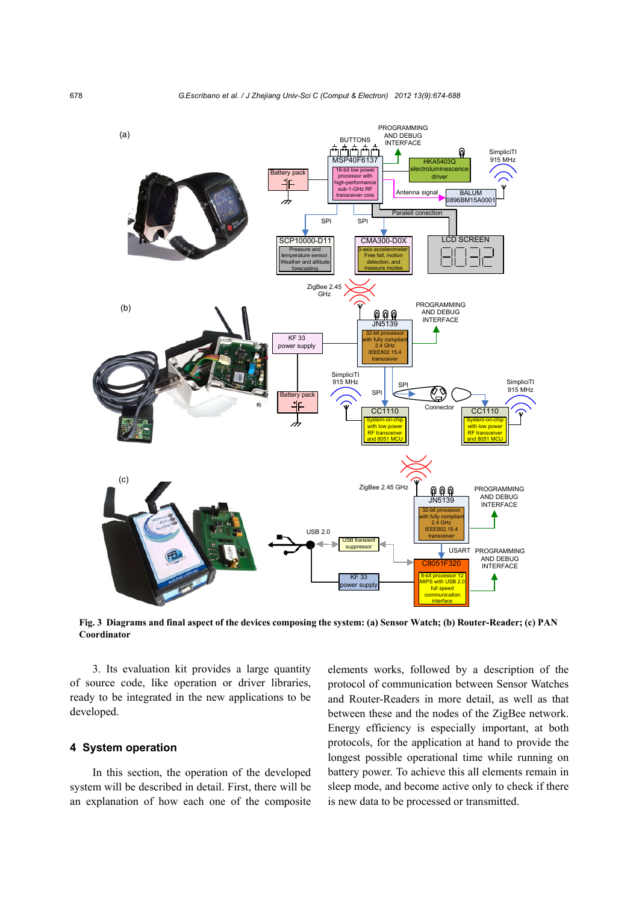

**Fig. 3 Diagrams and final aspect of the devices composing the system: (a) Sensor Watch; (b) Router-Reader; (c) PAN Coordinator** 

3. Its evaluation kit provides a large quantity of source code, like operation or driver libraries, ready to be integrated in the new applications to be developed.

## **4 System operation**

In this section, the operation of the developed system will be described in detail. First, there will be an explanation of how each one of the composite elements works, followed by a description of the protocol of communication between Sensor Watches and Router-Readers in more detail, as well as that between these and the nodes of the ZigBee network. Energy efficiency is especially important, at both protocols, for the application at hand to provide the longest possible operational time while running on battery power. To achieve this all elements remain in sleep mode, and become active only to check if there is new data to be processed or transmitted.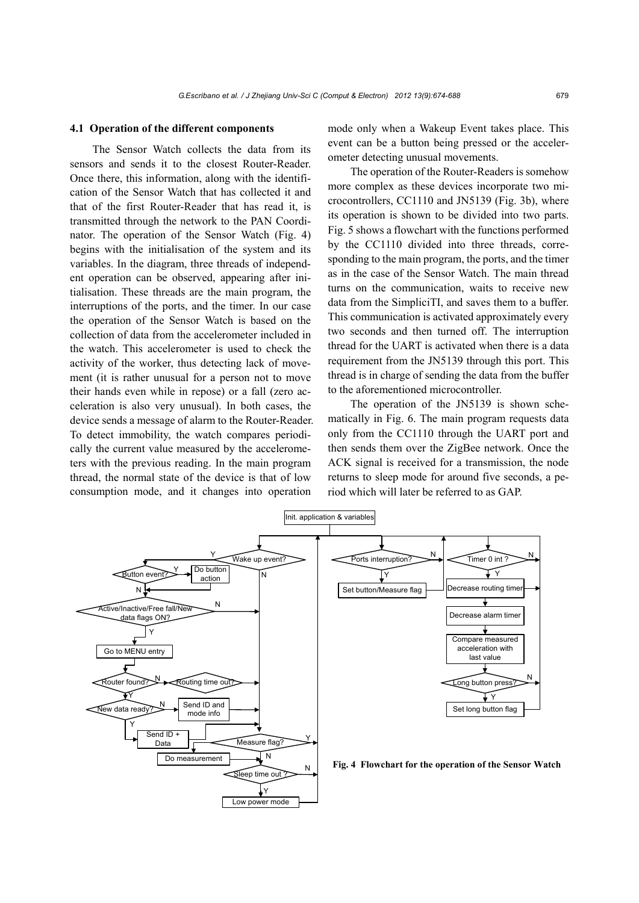### **4.1 Operation of the different components**

The Sensor Watch collects the data from its sensors and sends it to the closest Router-Reader. Once there, this information, along with the identification of the Sensor Watch that has collected it and that of the first Router-Reader that has read it, is transmitted through the network to the PAN Coordinator. The operation of the Sensor Watch (Fig. 4) begins with the initialisation of the system and its variables. In the diagram, three threads of independent operation can be observed, appearing after initialisation. These threads are the main program, the interruptions of the ports, and the timer. In our case the operation of the Sensor Watch is based on the collection of data from the accelerometer included in the watch. This accelerometer is used to check the activity of the worker, thus detecting lack of movement (it is rather unusual for a person not to move their hands even while in repose) or a fall (zero acceleration is also very unusual). In both cases, the device sends a message of alarm to the Router-Reader. To detect immobility, the watch compares periodically the current value measured by the accelerometers with the previous reading. In the main program thread, the normal state of the device is that of low consumption mode, and it changes into operation

mode only when a Wakeup Event takes place. This event can be a button being pressed or the accelerometer detecting unusual movements.

The operation of the Router-Readers is somehow more complex as these devices incorporate two microcontrollers, CC1110 and JN5139 (Fig. 3b), where its operation is shown to be divided into two parts. Fig. 5 shows a flowchart with the functions performed by the CC1110 divided into three threads, corresponding to the main program, the ports, and the timer as in the case of the Sensor Watch. The main thread turns on the communication, waits to receive new data from the SimpliciTI, and saves them to a buffer. This communication is activated approximately every two seconds and then turned off. The interruption thread for the UART is activated when there is a data requirement from the JN5139 through this port. This thread is in charge of sending the data from the buffer to the aforementioned microcontroller.

The operation of the JN5139 is shown schematically in Fig. 6. The main program requests data only from the CC1110 through the UART port and then sends them over the ZigBee network. Once the ACK signal is received for a transmission, the node returns to sleep mode for around five seconds, a period which will later be referred to as GAP.

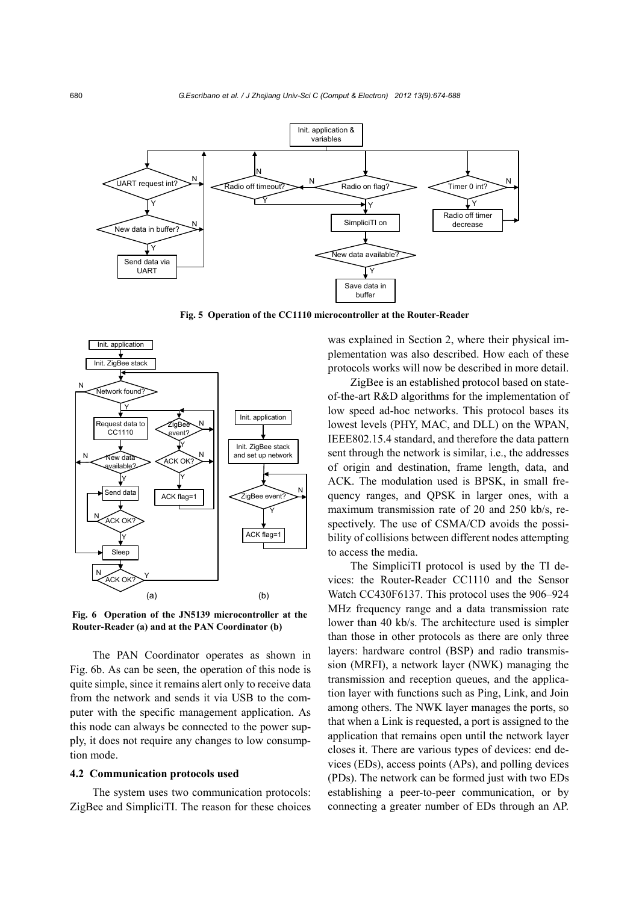

**Fig. 5 Operation of the CC1110 microcontroller at the Router-Reader** 



**Fig. 6 Operation of the JN5139 microcontroller at the Router-Reader (a) and at the PAN Coordinator (b)** 

The PAN Coordinator operates as shown in Fig. 6b. As can be seen, the operation of this node is quite simple, since it remains alert only to receive data from the network and sends it via USB to the computer with the specific management application. As this node can always be connected to the power supply, it does not require any changes to low consumption mode.

## **4.2 Communication protocols used**

The system uses two communication protocols: ZigBee and SimpliciTI. The reason for these choices

was explained in Section 2, where their physical implementation was also described. How each of these protocols works will now be described in more detail.

ZigBee is an established protocol based on stateof-the-art R&D algorithms for the implementation of low speed ad-hoc networks. This protocol bases its lowest levels (PHY, MAC, and DLL) on the WPAN, IEEE802.15.4 standard, and therefore the data pattern sent through the network is similar, i.e., the addresses of origin and destination, frame length, data, and ACK. The modulation used is BPSK, in small frequency ranges, and QPSK in larger ones, with a maximum transmission rate of 20 and 250 kb/s, respectively. The use of CSMA/CD avoids the possibility of collisions between different nodes attempting to access the media.

The SimpliciTI protocol is used by the TI devices: the Router-Reader CC1110 and the Sensor Watch CC430F6137. This protocol uses the 906–924 MHz frequency range and a data transmission rate lower than 40 kb/s. The architecture used is simpler than those in other protocols as there are only three layers: hardware control (BSP) and radio transmission (MRFI), a network layer (NWK) managing the transmission and reception queues, and the application layer with functions such as Ping, Link, and Join among others. The NWK layer manages the ports, so that when a Link is requested, a port is assigned to the application that remains open until the network layer closes it. There are various types of devices: end devices (EDs), access points (APs), and polling devices (PDs). The network can be formed just with two EDs establishing a peer-to-peer communication, or by connecting a greater number of EDs through an AP.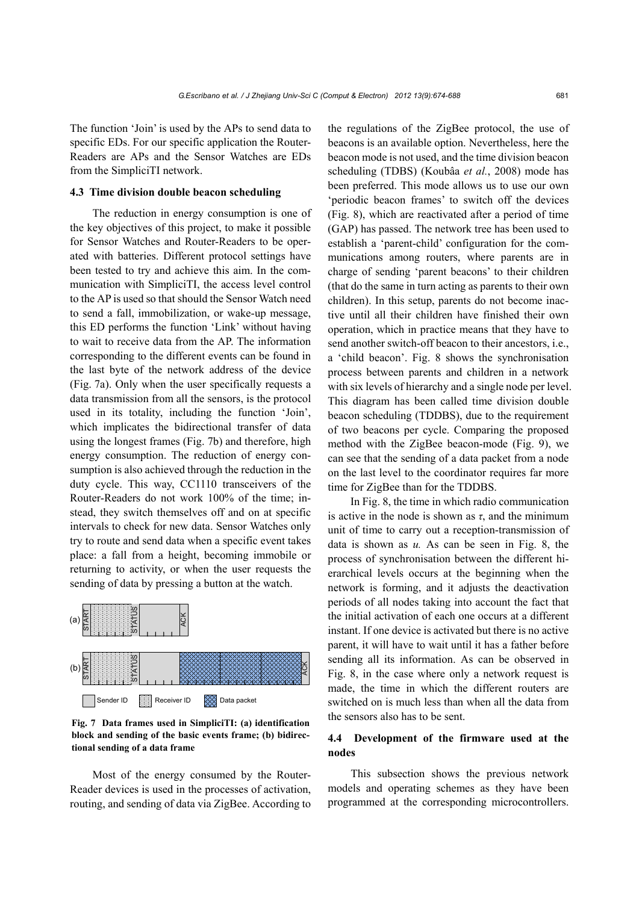The function 'Join' is used by the APs to send data to specific EDs. For our specific application the Router-Readers are APs and the Sensor Watches are EDs from the SimpliciTI network.

#### **4.3 Time division double beacon scheduling**

The reduction in energy consumption is one of the key objectives of this project, to make it possible for Sensor Watches and Router-Readers to be operated with batteries. Different protocol settings have been tested to try and achieve this aim. In the communication with SimpliciTI, the access level control to the AP is used so that should the Sensor Watch need to send a fall, immobilization, or wake-up message, this ED performs the function 'Link' without having to wait to receive data from the AP. The information corresponding to the different events can be found in the last byte of the network address of the device (Fig. 7a). Only when the user specifically requests a data transmission from all the sensors, is the protocol used in its totality, including the function 'Join', which implicates the bidirectional transfer of data using the longest frames (Fig. 7b) and therefore, high energy consumption. The reduction of energy consumption is also achieved through the reduction in the duty cycle. This way, CC1110 transceivers of the Router-Readers do not work 100% of the time; instead, they switch themselves off and on at specific intervals to check for new data. Sensor Watches only try to route and send data when a specific event takes place: a fall from a height, becoming immobile or returning to activity, or when the user requests the sending of data by pressing a button at the watch.



**Fig. 7 Data frames used in SimpliciTI: (a) identification block and sending of the basic events frame; (b) bidirec-**

Most of the energy consumed by the Router-Reader devices is used in the processes of activation, routing, and sending of data via ZigBee. According to the regulations of the ZigBee protocol, the use of beacons is an available option. Nevertheless, here the beacon mode is not used, and the time division beacon scheduling (TDBS) (Koubâa *et al.*, 2008) mode has been preferred. This mode allows us to use our own 'periodic beacon frames' to switch off the devices (Fig. 8), which are reactivated after a period of time (GAP) has passed. The network tree has been used to establish a 'parent-child' configuration for the communications among routers, where parents are in charge of sending 'parent beacons' to their children (that do the same in turn acting as parents to their own children). In this setup, parents do not become inactive until all their children have finished their own operation, which in practice means that they have to send another switch-off beacon to their ancestors, i.e., a 'child beacon'. Fig. 8 shows the synchronisation process between parents and children in a network with six levels of hierarchy and a single node per level. This diagram has been called time division double beacon scheduling (TDDBS), due to the requirement of two beacons per cycle. Comparing the proposed method with the ZigBee beacon-mode (Fig. 9), we can see that the sending of a data packet from a node on the last level to the coordinator requires far more time for ZigBee than for the TDDBS.

In Fig. 8, the time in which radio communication is active in the node is shown as  $\tau$ , and the minimum unit of time to carry out a reception-transmission of data is shown as *u.* As can be seen in Fig. 8, the process of synchronisation between the different hierarchical levels occurs at the beginning when the network is forming, and it adjusts the deactivation periods of all nodes taking into account the fact that the initial activation of each one occurs at a different instant. If one device is activated but there is no active parent, it will have to wait until it has a father before sending all its information. As can be observed in Fig. 8, in the case where only a network request is made, the time in which the different routers are switched on is much less than when all the data from the sensors also has to be sent.

# **4.4 Development of the firmware used at the nodes**

This subsection shows the previous network models and operating schemes as they have been programmed at the corresponding microcontrollers.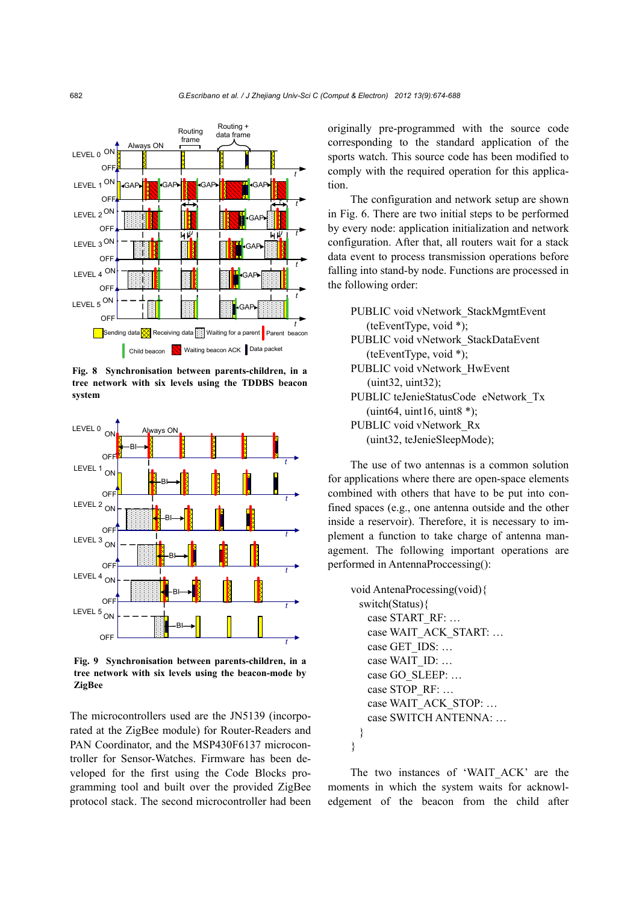

**Fig. 8 Synchronisation between parents-children, in a tree network with six levels using the TDDBS beacon system** 



**Fig. 9 Synchronisation between parents-children, in a tree network with six levels using the beacon-mode by ZigBee** 

The microcontrollers used are the JN5139 (incorporated at the ZigBee module) for Router-Readers and PAN Coordinator, and the MSP430F6137 microcontroller for Sensor-Watches. Firmware has been developed for the first using the Code Blocks programming tool and built over the provided ZigBee protocol stack. The second microcontroller had been originally pre-programmed with the source code corresponding to the standard application of the sports watch. This source code has been modified to comply with the required operation for this application.

The configuration and network setup are shown in Fig. 6. There are two initial steps to be performed by every node: application initialization and network configuration. After that, all routers wait for a stack data event to process transmission operations before falling into stand-by node. Functions are processed in the following order:

- PUBLIC void vNetwork\_StackMgmtEvent (teEventType, void \*);
- PUBLIC void vNetwork\_StackDataEvent (teEventType, void \*);
- PUBLIC void vNetwork\_HwEvent (uint32, uint32);
- PUBLIC teJenieStatusCode eNetwork\_Tx  $(\text{uint64}, \text{uint16}, \text{uint8}^*)$ ;
- PUBLIC void vNetwork\_Rx
	- (uint32, teJenieSleepMode);

The use of two antennas is a common solution for applications where there are open-space elements combined with others that have to be put into confined spaces (e.g., one antenna outside and the other inside a reservoir). Therefore, it is necessary to implement a function to take charge of antenna management. The following important operations are performed in AntennaProccessing():

```
void AntenaProcessing(void){ 
  switch(Status){ 
    case START_RF: … 
    case WAIT_ACK_START: … 
    case GET_IDS: … 
   case WAIT_ID: ...
    case GO_SLEEP: … 
    case STOP_RF: … 
    case WAIT_ACK_STOP: … 
    case SWITCH ANTENNA: … 
  } 
}
```
The two instances of 'WAIT\_ACK' are the moments in which the system waits for acknowledgement of the beacon from the child after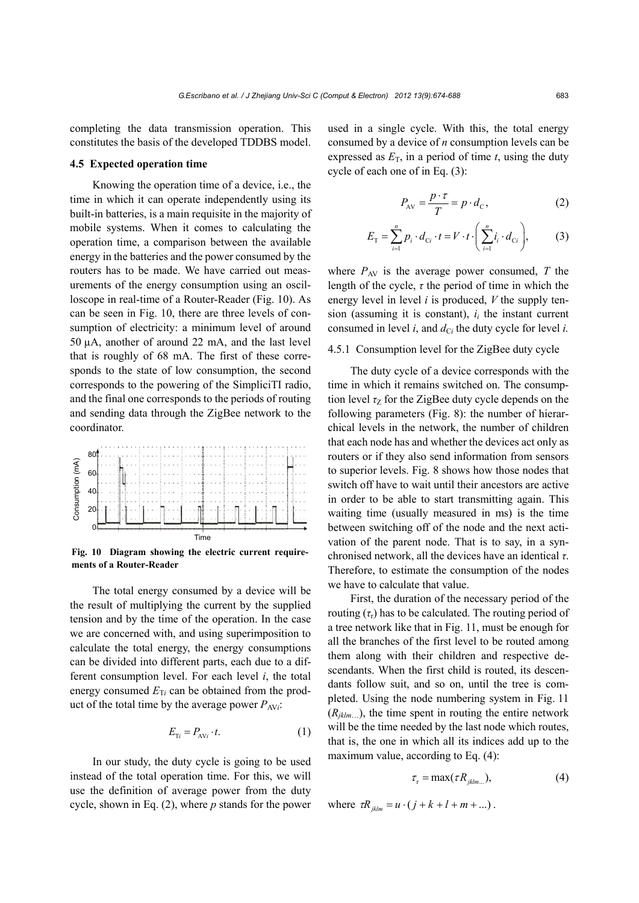completing the data transmission operation. This constitutes the basis of the developed TDDBS model.

#### **4.5 Expected operation time**

Knowing the operation time of a device, i.e., the time in which it can operate independently using its built-in batteries, is a main requisite in the majority of mobile systems. When it comes to calculating the operation time, a comparison between the available energy in the batteries and the power consumed by the routers has to be made. We have carried out measurements of the energy consumption using an oscilloscope in real-time of a Router-Reader (Fig. 10). As can be seen in Fig. 10, there are three levels of consumption of electricity: a minimum level of around 50 µA, another of around 22 mA, and the last level that is roughly of 68 mA. The first of these corresponds to the state of low consumption, the second corresponds to the powering of the SimpliciTI radio, and the final one corresponds to the periods of routing and sending data through the ZigBee network to the coordinator.



**Fig. 10 Diagram showing the electric current require-**

The total energy consumed by a device will be the result of multiplying the current by the supplied tension and by the time of the operation. In the case we are concerned with, and using superimposition to calculate the total energy, the energy consumptions can be divided into different parts, each due to a different consumption level. For each level *i*, the total energy consumed  $E_{Ti}$  can be obtained from the product of the total time by the average power  $P_{AVi}$ :

$$
E_{\text{Ti}} = P_{\text{AV}i} \cdot t. \tag{1}
$$

In our study, the duty cycle is going to be used instead of the total operation time. For this, we will use the definition of average power from the duty cycle, shown in Eq. (2), where *p* stands for the power used in a single cycle. With this, the total energy consumed by a device of *n* consumption levels can be expressed as  $E_T$ , in a period of time  $t$ , using the duty cycle of each one of in Eq. (3):

$$
P_{AV} = \frac{p \cdot \tau}{T} = p \cdot d_C, \qquad (2)
$$

$$
E_{\rm T} = \sum_{i=1}^{n} p_i \cdot d_{\rm C} \cdot t = V \cdot t \cdot \left( \sum_{i=1}^{n} i_i \cdot d_{\rm C} \right),\tag{3}
$$

where  $P_{AV}$  is the average power consumed, *T* the length of the cycle,  $\tau$  the period of time in which the energy level in level *i* is produced, *V* the supply tension (assuming it is constant),  $i_i$  the instant current consumed in level  $i$ , and  $d_{\text{C}i}$  the duty cycle for level  $i$ .

## 4.5.1 Consumption level for the ZigBee duty cycle

The duty cycle of a device corresponds with the time in which it remains switched on. The consumption level  $\tau$ <sub>Z</sub> for the ZigBee duty cycle depends on the following parameters (Fig. 8): the number of hierarchical levels in the network, the number of children that each node has and whether the devices act only as routers or if they also send information from sensors to superior levels. Fig. 8 shows how those nodes that switch off have to wait until their ancestors are active in order to be able to start transmitting again. This waiting time (usually measured in ms) is the time between switching off of the node and the next activation of the parent node. That is to say, in a synchronised network, all the devices have an identical *τ*. Therefore, to estimate the consumption of the nodes we have to calculate that value.

First, the duration of the necessary period of the routing  $(\tau_r)$  has to be calculated. The routing period of a tree network like that in Fig. 11, must be enough for all the branches of the first level to be routed among them along with their children and respective descendants. When the first child is routed, its descendants follow suit, and so on, until the tree is completed. Using the node numbering system in Fig. 11  $(R_{iklm})$ , the time spent in routing the entire network will be the time needed by the last node which routes, that is, the one in which all its indices add up to the maximum value, according to Eq. (4):

$$
\tau_{\rm r} = \max(\tau R_{jklm...}),\tag{4}
$$

where  $\tau R_{iklm} = u \cdot (j + k + l + m + ...)$ .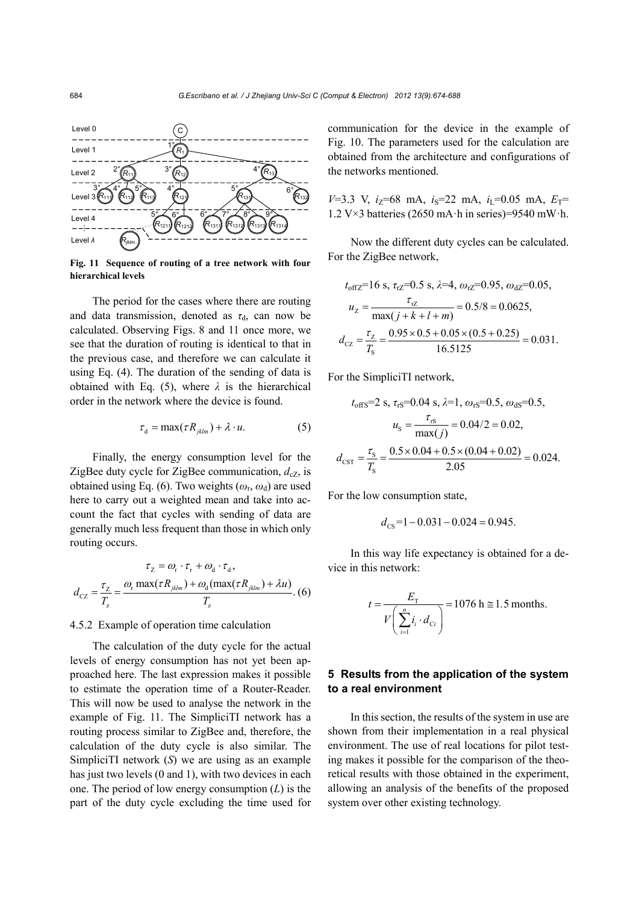

**Fig. 11 Sequence of routing of a tree network with four hierarchical levels** 

The period for the cases where there are routing and data transmission, denoted as  $\tau_{d}$ , can now be calculated. Observing Figs. 8 and 11 once more, we see that the duration of routing is identical to that in the previous case, and therefore we can calculate it using Eq. (4). The duration of the sending of data is obtained with Eq. (5), where  $\lambda$  is the hierarchical order in the network where the device is found.

$$
\tau_{\rm d} = \max(\tau R_{jklm}) + \lambda \cdot u. \tag{5}
$$

Finally, the energy consumption level for the ZigBee duty cycle for ZigBee communication,  $d_{cZ}$ , is obtained using Eq. (6). Two weights  $(\omega_r, \omega_d)$  are used here to carry out a weighted mean and take into account the fact that cycles with sending of data are generally much less frequent than those in which only routing occurs.

$$
\tau_{Z} = \omega_{r} \cdot \tau_{r} + \omega_{d} \cdot \tau_{d},
$$

$$
d_{CZ} = \frac{\tau_{Z}}{T_{z}} = \frac{\omega_{r} \max(\tau R_{jklm}) + \omega_{d}(\max(\tau R_{jklm}) + \lambda u)}{T_{z}}.
$$
(6)

#### 4.5.2 Example of operation time calculation

The calculation of the duty cycle for the actual levels of energy consumption has not yet been approached here. The last expression makes it possible to estimate the operation time of a Router-Reader. This will now be used to analyse the network in the example of Fig. 11. The SimpliciTI network has a routing process similar to ZigBee and, therefore, the calculation of the duty cycle is also similar. The SimpliciTI network (*S*) we are using as an example has just two levels (0 and 1), with two devices in each one. The period of low energy consumption (*L*) is the part of the duty cycle excluding the time used for

communication for the device in the example of Fig. 10. The parameters used for the calculation are obtained from the architecture and configurations of the networks mentioned.

$$
V=3.3
$$
 V,  $i_Z=68$  mA,  $i_S=22$  mA,  $i_L=0.05$  mA,  $E_T=1.2$  V×3 batteries (2650 mA·h in series)=9540 mW·h.

Now the different duty cycles can be calculated. For the ZigBee network,

$$
t_{\text{offZ}} = 16 \text{ s}, \tau_{\text{rZ}} = 0.5 \text{ s}, \lambda = 4, \omega_{\text{rZ}} = 0.95, \omega_{\text{dZ}} = 0.05,
$$
  

$$
u_{\text{Z}} = \frac{\tau_{\text{rZ}}}{\max(j + k + l + m)} = 0.5/8 = 0.0625,
$$
  

$$
d_{\text{CZ}} = \frac{\tau_{\text{Z}}}{T_{\text{s}}} = \frac{0.95 \times 0.5 + 0.05 \times (0.5 + 0.25)}{16.5125} = 0.031.
$$

For the SimpliciTI network,

$$
t_{\text{offS}}=2 \text{ s}, \tau_{\text{rS}}=0.04 \text{ s}, \lambda=1, \omega_{\text{rS}}=0.5, \omega_{\text{dS}}=0.5,
$$
  

$$
u_{\text{S}} = \frac{\tau_{\text{rS}}}{\max(j)} = 0.04/2 = 0.02,
$$

$$
d_{\text{CST}} = \frac{\tau_{\text{S}}}{T_{\text{S}}} = \frac{0.5 \times 0.04 + 0.5 \times (0.04 + 0.02)}{2.05} = 0.024.
$$

For the low consumption state,

$$
d_{\rm CS} = 1 - 0.031 - 0.024 = 0.945.
$$

In this way life expectancy is obtained for a device in this network:

$$
t = \frac{E_{\rm T}}{V \left(\sum_{i=1}^{n} i_i \cdot d_{\rm C} \right)} = 1076 \text{ h} \approx 1.5 \text{ months.}
$$

# **5 Results from the application of the system to a real environment**

In this section, the results of the system in use are shown from their implementation in a real physical environment. The use of real locations for pilot testing makes it possible for the comparison of the theoretical results with those obtained in the experiment, allowing an analysis of the benefits of the proposed system over other existing technology.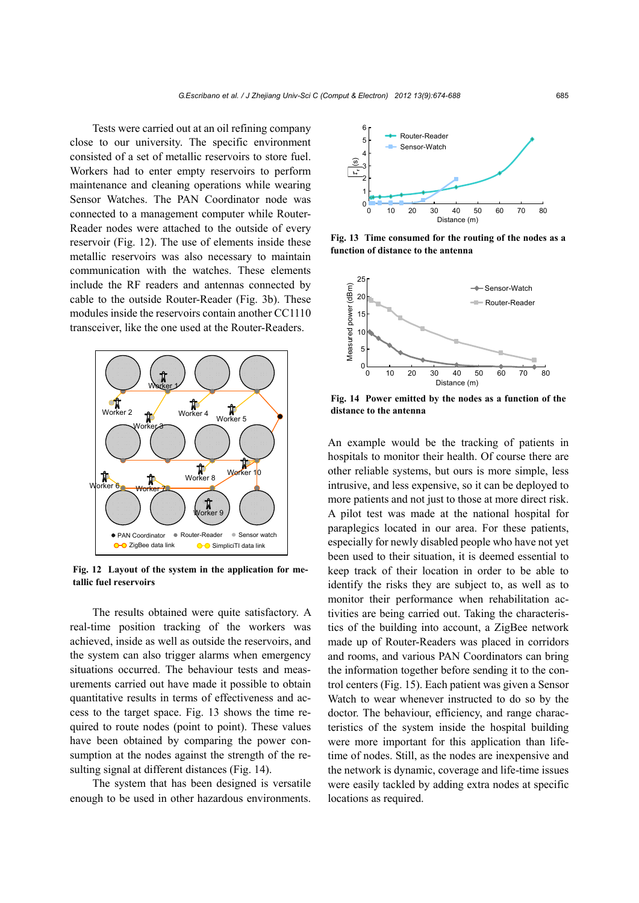Tests were carried out at an oil refining company close to our university. The specific environment consisted of a set of metallic reservoirs to store fuel. Workers had to enter empty reservoirs to perform maintenance and cleaning operations while wearing Sensor Watches. The PAN Coordinator node was connected to a management computer while Router-Reader nodes were attached to the outside of every reservoir (Fig. 12). The use of elements inside these metallic reservoirs was also necessary to maintain communication with the watches. These elements include the RF readers and antennas connected by cable to the outside Router-Reader (Fig. 3b). These modules inside the reservoirs contain another CC1110 transceiver, like the one used at the Router-Readers.



**Fig. 12 Layout of the system in the application for metallic fuel reservoirs** 

The results obtained were quite satisfactory. A real-time position tracking of the workers was achieved, inside as well as outside the reservoirs, and the system can also trigger alarms when emergency situations occurred. The behaviour tests and measurements carried out have made it possible to obtain quantitative results in terms of effectiveness and access to the target space. Fig. 13 shows the time required to route nodes (point to point). These values have been obtained by comparing the power consumption at the nodes against the strength of the resulting signal at different distances (Fig. 14).

The system that has been designed is versatile enough to be used in other hazardous environments.



**Fig. 13 Time consumed for the routing of the nodes as a function of distance to the antenna** 



**Fig. 14 Power emitted by the nodes as a function of the distance to the antenna** 

An example would be the tracking of patients in hospitals to monitor their health. Of course there are other reliable systems, but ours is more simple, less intrusive, and less expensive, so it can be deployed to more patients and not just to those at more direct risk. A pilot test was made at the national hospital for paraplegics located in our area. For these patients, especially for newly disabled people who have not yet been used to their situation, it is deemed essential to keep track of their location in order to be able to identify the risks they are subject to, as well as to monitor their performance when rehabilitation activities are being carried out. Taking the characteristics of the building into account, a ZigBee network made up of Router-Readers was placed in corridors and rooms, and various PAN Coordinators can bring the information together before sending it to the control centers (Fig. 15). Each patient was given a Sensor Watch to wear whenever instructed to do so by the doctor. The behaviour, efficiency, and range characteristics of the system inside the hospital building were more important for this application than lifetime of nodes. Still, as the nodes are inexpensive and the network is dynamic, coverage and life-time issues were easily tackled by adding extra nodes at specific locations as required.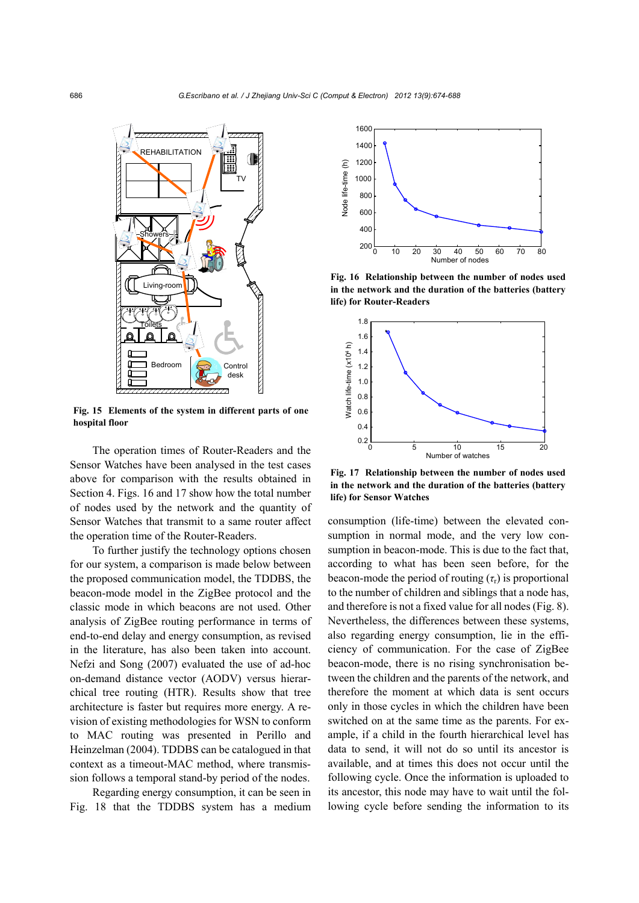

**Fig. 15 Elements of the system in different parts of one hospital floor** 

The operation times of Router-Readers and the Sensor Watches have been analysed in the test cases above for comparison with the results obtained in Section 4. Figs. 16 and 17 show how the total number of nodes used by the network and the quantity of Sensor Watches that transmit to a same router affect the operation time of the Router-Readers.

To further justify the technology options chosen for our system, a comparison is made below between the proposed communication model, the TDDBS, the beacon-mode model in the ZigBee protocol and the classic mode in which beacons are not used. Other analysis of ZigBee routing performance in terms of end-to-end delay and energy consumption, as revised in the literature, has also been taken into account. Nefzi and Song (2007) evaluated the use of ad-hoc on-demand distance vector (AODV) versus hierarchical tree routing (HTR). Results show that tree architecture is faster but requires more energy. A revision of existing methodologies for WSN to conform to MAC routing was presented in Perillo and Heinzelman (2004). TDDBS can be catalogued in that context as a timeout-MAC method, where transmission follows a temporal stand-by period of the nodes.

Regarding energy consumption, it can be seen in Fig. 18 that the TDDBS system has a medium



**Fig. 16 Relationship between the number of nodes used in the network and the duration of the batteries (battery life) for Router-Readers** 



**Fig. 17 Relationship between the number of nodes used in the network and the duration of the batteries (battery life) for Sensor Watches** 

consumption (life-time) between the elevated consumption in normal mode, and the very low consumption in beacon-mode. This is due to the fact that, according to what has been seen before, for the beacon-mode the period of routing  $(\tau_r)$  is proportional to the number of children and siblings that a node has, and therefore is not a fixed value for all nodes (Fig. 8). Nevertheless, the differences between these systems, also regarding energy consumption, lie in the efficiency of communication. For the case of ZigBee beacon-mode, there is no rising synchronisation between the children and the parents of the network, and therefore the moment at which data is sent occurs only in those cycles in which the children have been switched on at the same time as the parents. For example, if a child in the fourth hierarchical level has data to send, it will not do so until its ancestor is available, and at times this does not occur until the following cycle. Once the information is uploaded to its ancestor, this node may have to wait until the following cycle before sending the information to its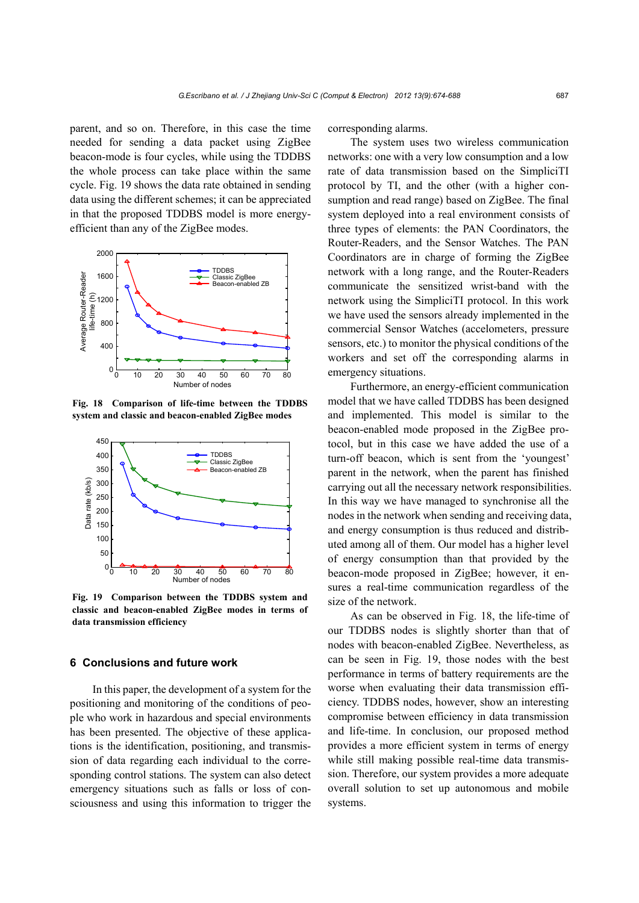parent, and so on. Therefore, in this case the time needed for sending a data packet using ZigBee beacon-mode is four cycles, while using the TDDBS the whole process can take place within the same cycle. Fig. 19 shows the data rate obtained in sending data using the different schemes; it can be appreciated in that the proposed TDDBS model is more energyefficient than any of the ZigBee modes.



**Fig. 18 Comparison of life-time between the TDDBS system and classic and beacon-enabled ZigBee modes** 



**Fig. 19 Comparison between the TDDBS system and classic and beacon-enabled ZigBee modes in terms of data transmission efficiency** 

# **6 Conclusions and future work**

In this paper, the development of a system for the positioning and monitoring of the conditions of people who work in hazardous and special environments has been presented. The objective of these applications is the identification, positioning, and transmission of data regarding each individual to the corresponding control stations. The system can also detect emergency situations such as falls or loss of consciousness and using this information to trigger the corresponding alarms.

The system uses two wireless communication networks: one with a very low consumption and a low rate of data transmission based on the SimpliciTI protocol by TI, and the other (with a higher consumption and read range) based on ZigBee. The final system deployed into a real environment consists of three types of elements: the PAN Coordinators, the Router-Readers, and the Sensor Watches. The PAN Coordinators are in charge of forming the ZigBee network with a long range, and the Router-Readers communicate the sensitized wrist-band with the network using the SimpliciTI protocol. In this work we have used the sensors already implemented in the commercial Sensor Watches (accelometers, pressure sensors, etc.) to monitor the physical conditions of the workers and set off the corresponding alarms in emergency situations.

Furthermore, an energy-efficient communication model that we have called TDDBS has been designed and implemented. This model is similar to the beacon-enabled mode proposed in the ZigBee protocol, but in this case we have added the use of a turn-off beacon, which is sent from the 'youngest' parent in the network, when the parent has finished carrying out all the necessary network responsibilities. In this way we have managed to synchronise all the nodes in the network when sending and receiving data, and energy consumption is thus reduced and distributed among all of them. Our model has a higher level of energy consumption than that provided by the beacon-mode proposed in ZigBee; however, it ensures a real-time communication regardless of the size of the network.

As can be observed in Fig. 18, the life-time of our TDDBS nodes is slightly shorter than that of nodes with beacon-enabled ZigBee. Nevertheless, as can be seen in Fig. 19, those nodes with the best performance in terms of battery requirements are the worse when evaluating their data transmission efficiency. TDDBS nodes, however, show an interesting compromise between efficiency in data transmission and life-time. In conclusion, our proposed method provides a more efficient system in terms of energy while still making possible real-time data transmission. Therefore, our system provides a more adequate overall solution to set up autonomous and mobile systems.